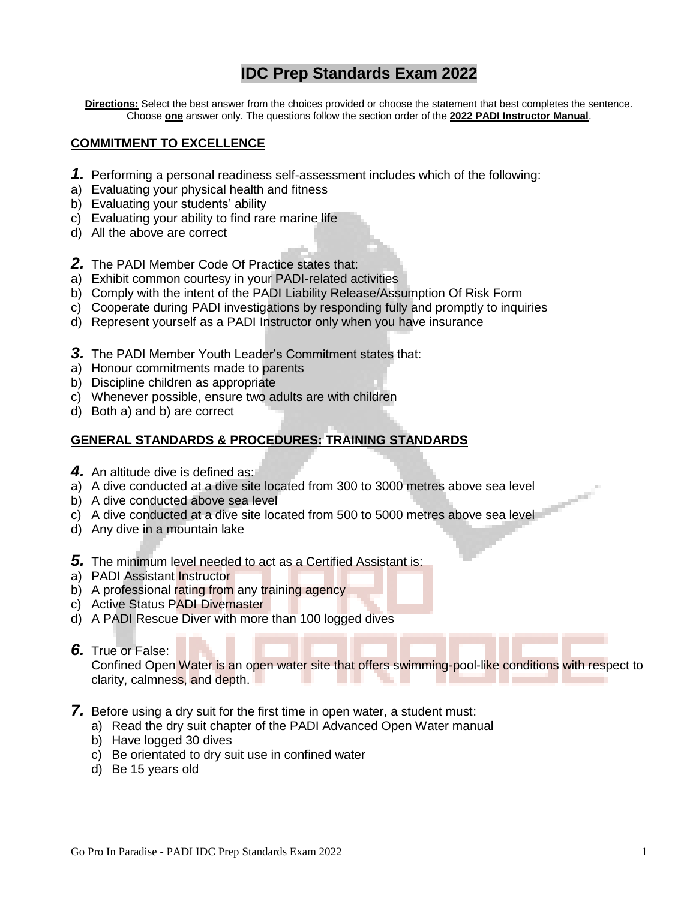# **IDC Prep Standards Exam 2022**

**Directions:** Select the best answer from the choices provided or choose the statement that best completes the sentence. Choose **one** answer only*.* The questions follow the section order of the **2022 PADI Instructor Manual**.

#### **COMMITMENT TO EXCELLENCE**

- *1.* Performing a personal readiness self-assessment includes which of the following:
- a) Evaluating your physical health and fitness
- b) Evaluating your students' ability
- c) Evaluating your ability to find rare marine life
- d) All the above are correct
- *2.* The PADI Member Code Of Practice states that:
- a) Exhibit common courtesy in your PADI-related activities
- b) Comply with the intent of the PADI Liability Release/Assumption Of Risk Form
- c) Cooperate during PADI investigations by responding fully and promptly to inquiries
- d) Represent yourself as a PADI Instructor only when you have insurance
- **3.** The PADI Member Youth Leader's Commitment states that:
- a) Honour commitments made to parents
- b) Discipline children as appropriate
- c) Whenever possible, ensure two adults are with children
- d) Both a) and b) are correct

### **GENERAL STANDARDS & PROCEDURES: TRAINING STANDARDS**

- **4.** An altitude dive is defined as:
- a) A dive conducted at a dive site located from 300 to 3000 metres above sea level
- b) A dive conducted above sea level
- c) A dive conducted at a dive site located from 500 to 5000 metres above sea level
- d) Any dive in a mountain lake
- *5.* The minimum level needed to act as a Certified Assistant is:
- a) PADI Assistant Instructor
- b) A professional rating from any training agency
- c) Active Status PADI Divemaster
- d) A PADI Rescue Diver with more than 100 logged dives

#### *6.* True or False:

Confined Open Water is an open water site that offers swimming-pool-like conditions with respect to clarity, calmness, and depth. a sa a ta 19

- *7.* Before using a dry suit for the first time in open water, a student must:
	- a) Read the dry suit chapter of the PADI Advanced Open Water manual
	- b) Have logged 30 dives
	- c) Be orientated to dry suit use in confined water
	- d) Be 15 years old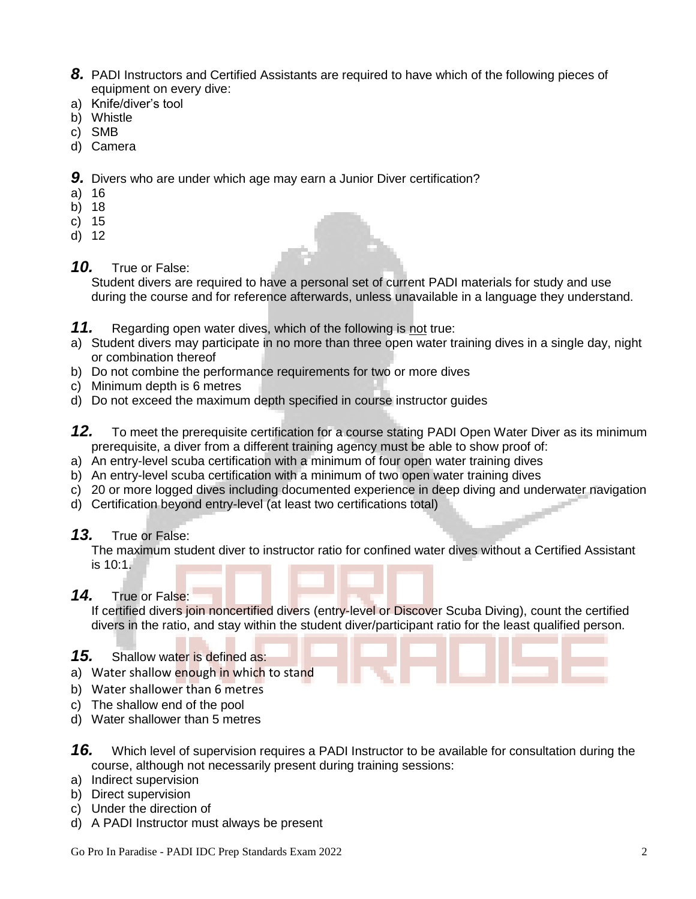- **8.** PADI Instructors and Certified Assistants are required to have which of the following pieces of equipment on every dive:
- a) Knife/diver's tool
- b) Whistle
- c) SMB
- d) Camera

*9.* Divers who are under which age may earn a Junior Diver certification?

- a) 16
- b) 18
- c) 15
- d) 12
- *10.* True or False:

Student divers are required to have a personal set of current PADI materials for study and use during the course and for reference afterwards, unless unavailable in a language they understand.

- *11.* Regarding open water dives, which of the following is not true:
- a) Student divers may participate in no more than three open water training dives in a single day, night or combination thereof
- b) Do not combine the performance requirements for two or more dives
- c) Minimum depth is 6 metres
- d) Do not exceed the maximum depth specified in course instructor guides
- *12.* To meet the prerequisite certification for a course stating PADI Open Water Diver as its minimum prerequisite, a diver from a different training agency must be able to show proof of:
- a) An entry-level scuba certification with a minimum of four open water training dives
- b) An entry-level scuba certification with a minimum of two open water training dives
- c) 20 or more logged dives including documented experience in deep diving and underwater navigation
- d) Certification beyond entry-level (at least two certifications total)

### *13.* True or False:

The maximum student diver to instructor ratio for confined water dives without a Certified Assistant is  $10.1$ .

### *14.* True or False:

If certified divers join noncertified divers (entry-level or Discover Scuba Diving), count the certified divers in the ratio, and stay within the student diver/participant ratio for the least qualified person.

- *15.* Shallow water is defined as:
- a) Water shallow enough in which to stand
- b) Water shallower than 6 metres
- c) The shallow end of the pool
- d) Water shallower than 5 metres
- *16.* Which level of supervision requires a PADI Instructor to be available for consultation during the course, although not necessarily present during training sessions:
- a) Indirect supervision
- b) Direct supervision
- c) Under the direction of
- d) A PADI Instructor must always be present

Go Pro In Paradise - PADI IDC Prep Standards Exam 2022 2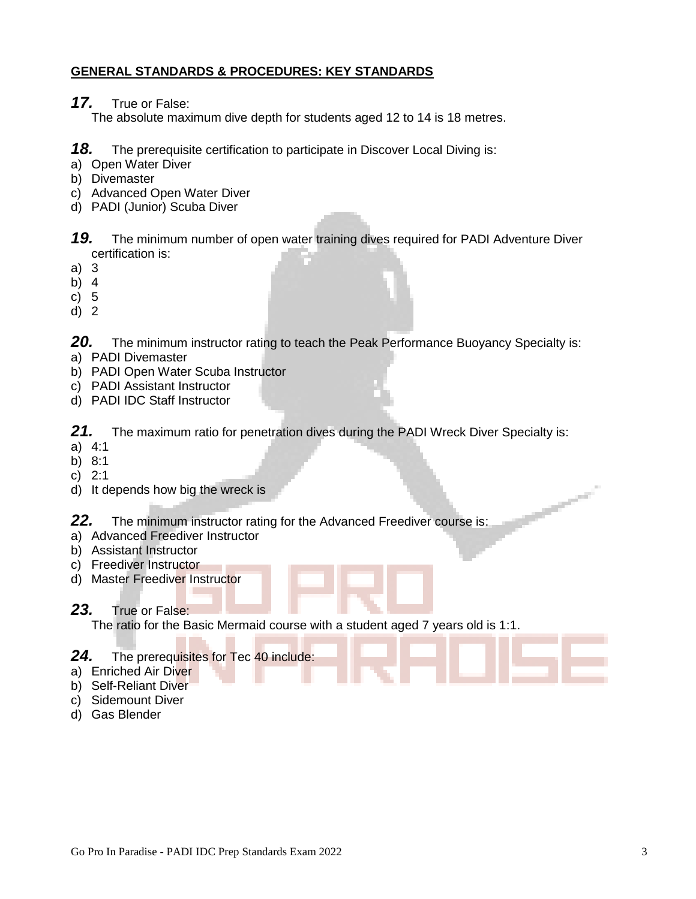### **GENERAL STANDARDS & PROCEDURES: KEY STANDARDS**

*17.* True or False:

The absolute maximum dive depth for students aged 12 to 14 is 18 metres.

*18.* The prerequisite certification to participate in Discover Local Diving is:

- a) Open Water Diver
- b) Divemaster
- c) Advanced Open Water Diver
- d) PADI (Junior) Scuba Diver

*19.* The minimum number of open water training dives required for PADI Adventure Diver certification is:

- a) 3
- b) 4
- c) 5
- d) 2

**20.** The minimum instructor rating to teach the Peak Performance Buoyancy Specialty is:

- a) PADI Divemaster
- b) PADI Open Water Scuba Instructor
- c) PADI Assistant Instructor
- d) PADI IDC Staff Instructor

*21.* The maximum ratio for penetration dives during the PADI Wreck Diver Specialty is:

- a) 4:1
- b) 8:1
- c) 2:1
- d) It depends how big the wreck is

*22.* The minimum instructor rating for the Advanced Freediver course is:

- a) Advanced Freediver Instructor
- b) Assistant Instructor
- c) Freediver Instructor
- d) Master Freediver Instructor

### *23.* True or False:

The ratio for the Basic Mermaid course with a student aged 7 years old is 1:1.

### *24.* The prerequisites for Tec 40 include:

- a) Enriched Air Diver
- b) Self-Reliant Diver
- c) Sidemount Diver
- d) Gas Blender

سنستمسح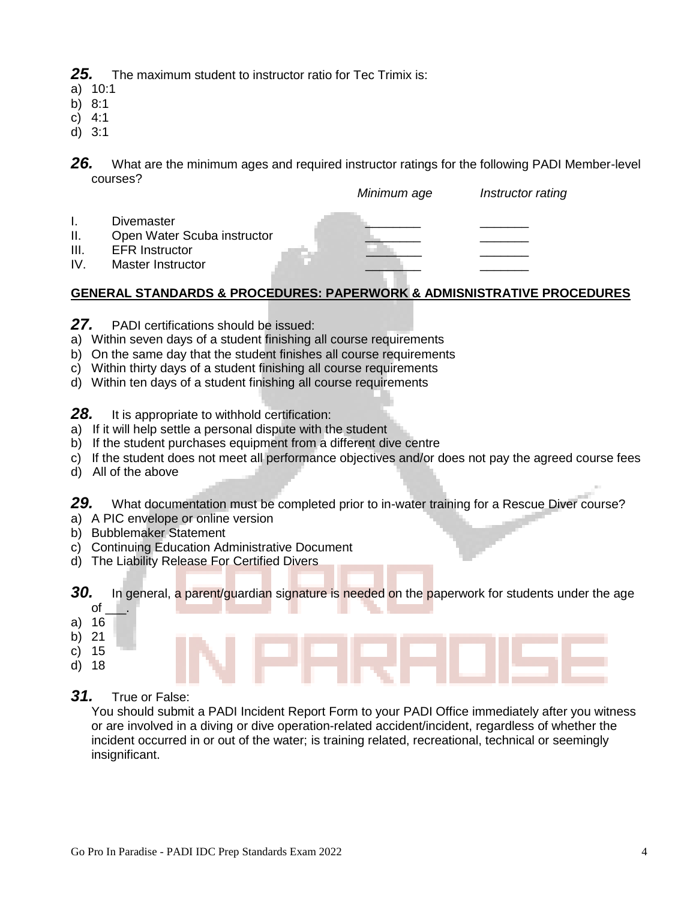*25.* The maximum student to instructor ratio for Tec Trimix is:

- a) 10:1
- b) 8:1
- c) 4:1
- d) 3:1

I. Divemaster \_\_\_\_\_\_\_\_ \_\_\_\_\_\_\_

26. What are the minimum ages and required instructor ratings for the following PADI Member-level courses?



# **GENERAL STANDARDS & PROCEDURES: PAPERWORK & ADMISNISTRATIVE PROCEDURES**

- *27.* PADI certifications should be issued:
- a) Within seven days of a student finishing all course requirements
- b) On the same day that the student finishes all course requirements
- c) Within thirty days of a student finishing all course requirements
- d) Within ten days of a student finishing all course requirements

**28.** It is appropriate to withhold certification:

- a) If it will help settle a personal dispute with the student
- b) If the student purchases equipment from a different dive centre
- c) If the student does not meet all performance objectives and/or does not pay the agreed course fees
- d) All of the above

*29.* What documentation must be completed prior to in-water training for a Rescue Diver course?

- a) A PIC envelope or online version
- b) Bubblemaker Statement
- c) Continuing Education Administrative Document
- d) The Liability Release For Certified Divers

**30.** In general, a parent/guardian signature is needed on the paperwork for students under the age

- $\circ$ f a) 16
- b) 21
- c) 15
- d) 18
- 
- *31.* True or False:

You should submit a PADI Incident Report Form to your PADI Office immediately after you witness or are involved in a diving or dive operation-related accident/incident, regardless of whether the incident occurred in or out of the water; is training related, recreational, technical or seemingly insignificant.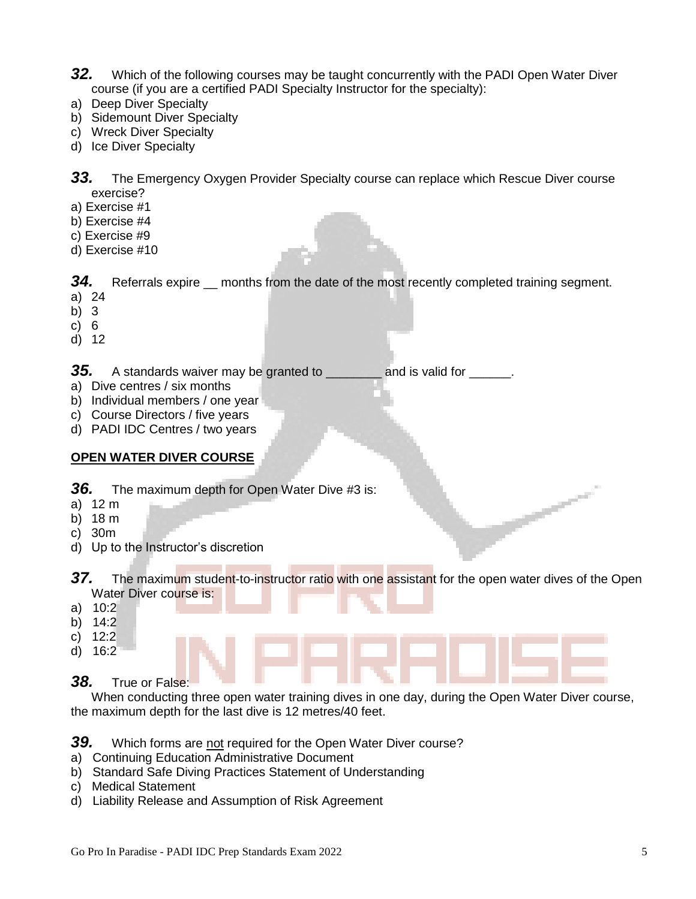- *32.* Which of the following courses may be taught concurrently with the PADI Open Water Diver course (if you are a certified PADI Specialty Instructor for the specialty):
- a) Deep Diver Specialty
- b) Sidemount Diver Specialty
- c) Wreck Diver Specialty
- d) Ice Diver Specialty

*33.* The Emergency Oxygen Provider Specialty course can replace which Rescue Diver course exercise?

- a) Exercise #1
- b) Exercise #4
- c) Exercise #9
- d) Exercise #10

**34.** Referrals expire <u>months from the date of the most recently completed training segment.</u>

- a) 24
- b) 3
- c) 6
- d) 12

**35.** A standards waiver may be granted to \_\_\_\_\_\_\_\_ and is valid for \_\_\_\_\_\_.

- a) Dive centres / six months
- b) Individual members / one year
- c) Course Directors / five years
- d) PADI IDC Centres / two years

### **OPEN WATER DIVER COURSE**

- **36.** The maximum depth for Open Water Dive #3 is:
- a) 12 m
- b) 18 m
- c) 30m
- d) Up to the Instructor's discretion

37. The maximum student-to-instructor ratio with one assistant for the open water dives of the Open Water Diver course is:

- a) 10:2
- b) 14:2
- c) 12:2
- d) 16:2

# *38.* True or False:

When conducting three open water training dives in one day, during the Open Water Diver course, the maximum depth for the last dive is 12 metres/40 feet.

- *39.* Which forms are not required for the Open Water Diver course?
- a) Continuing Education Administrative Document
- b) Standard Safe Diving Practices Statement of Understanding
- c) Medical Statement
- d) Liability Release and Assumption of Risk Agreement

--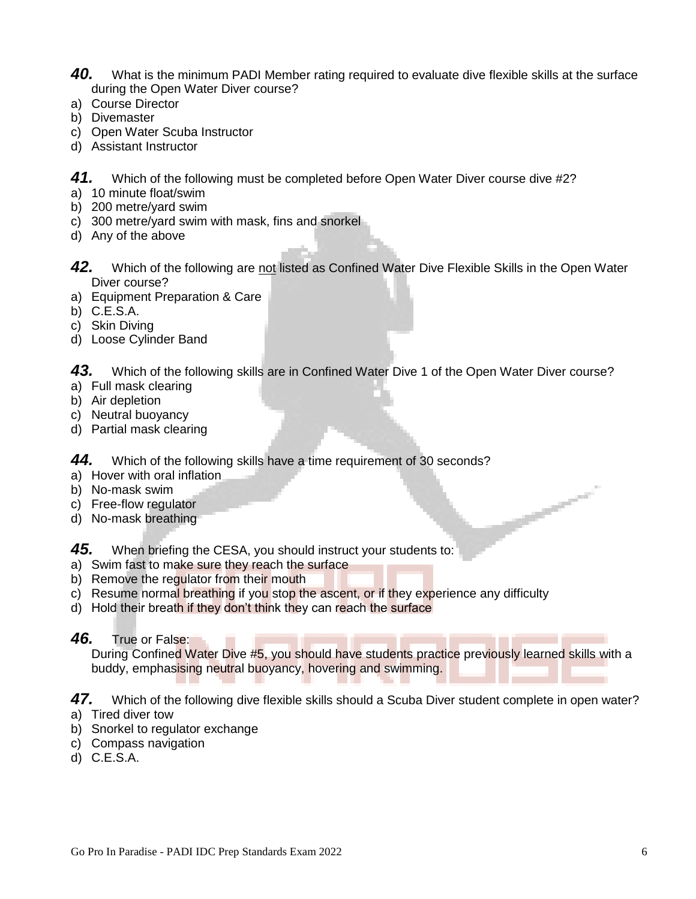- *40.* What is the minimum PADI Member rating required to evaluate dive flexible skills at the surface during the Open Water Diver course?
- a) Course Director
- b) Divemaster
- c) Open Water Scuba Instructor
- d) Assistant Instructor

*41.* Which of the following must be completed before Open Water Diver course dive #2?

- a) 10 minute float/swim
- b) 200 metre/yard swim
- c) 300 metre/yard swim with mask, fins and snorkel
- d) Any of the above
- 42. Which of the following are not listed as Confined Water Dive Flexible Skills in the Open Water Diver course?
- a) Equipment Preparation & Care
- b) C.E.S.A.
- c) Skin Diving
- d) Loose Cylinder Band

43. Which of the following skills are in Confined Water Dive 1 of the Open Water Diver course?

- a) Full mask clearing
- b) Air depletion
- c) Neutral buoyancy
- d) Partial mask clearing

*44.* Which of the following skills have a time requirement of 30 seconds?

- a) Hover with oral inflation
- b) No-mask swim
- c) Free-flow regulator
- d) No-mask breathing

*45.* When briefing the CESA, you should instruct your students to:

- a) Swim fast to make sure they reach the surface
- b) Remove the regulator from their mouth
- c) Resume normal breathing if you stop the ascent, or if they experience any difficulty
- d) Hold their breath if they don't think they can reach the surface

### *46.* True or False:

During Confined Water Dive #5, you should have students practice previously learned skills with a buddy, emphasising neutral buoyancy, hovering and swimming.

47. Which of the following dive flexible skills should a Scuba Diver student complete in open water? a) Tired diver tow

- 
- b) Snorkel to regulator exchange
- c) Compass navigation
- d) C.E.S.A.

 $\overline{\phantom{a}}$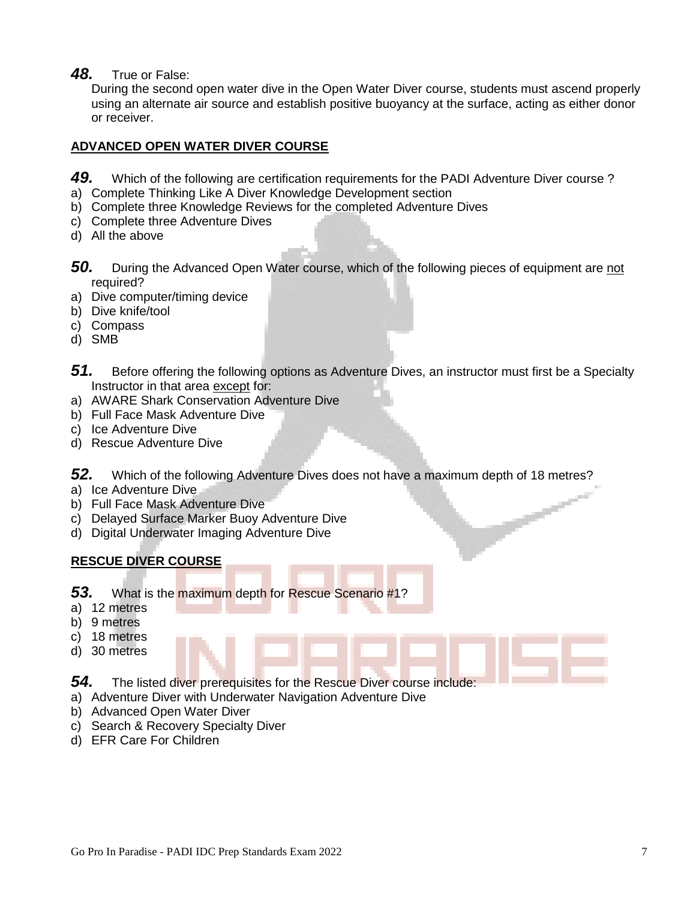*48.* True or False:

During the second open water dive in the Open Water Diver course, students must ascend properly using an alternate air source and establish positive buoyancy at the surface, acting as either donor or receiver.

### **ADVANCED OPEN WATER DIVER COURSE**

- 49. Which of the following are certification requirements for the PADI Adventure Diver course?
- a) Complete Thinking Like A Diver Knowledge Development section
- b) Complete three Knowledge Reviews for the completed Adventure Dives
- c) Complete three Adventure Dives
- d) All the above
- **50.** During the Advanced Open Water course, which of the following pieces of equipment are not required?
- a) Dive computer/timing device
- b) Dive knife/tool
- c) Compass
- d) SMB
- 51. Before offering the following options as Adventure Dives, an instructor must first be a Specialty Instructor in that area except for:
- a) AWARE Shark Conservation Adventure Dive
- b) Full Face Mask Adventure Dive
- c) Ice Adventure Dive
- d) Rescue Adventure Dive

*52.* Which of the following Adventure Dives does not have a maximum depth of 18 metres?

- a) Ice Adventure Dive
- b) Full Face Mask Adventure Dive
- c) Delayed Surface Marker Buoy Adventure Dive
- d) Digital Underwater Imaging Adventure Dive

# **RESCUE DIVER COURSE**

- *53.* What is the maximum depth for Rescue Scenario #1?
- a) 12 metres
- b) 9 metres
- c) 18 metres
- d) 30 metres

*54.* The listed diver prerequisites for the Rescue Diver course include:

- a) Adventure Diver with Underwater Navigation Adventure Dive
- b) Advanced Open Water Diver
- c) Search & Recovery Specialty Diver
- d) EFR Care For Children

سنتمسح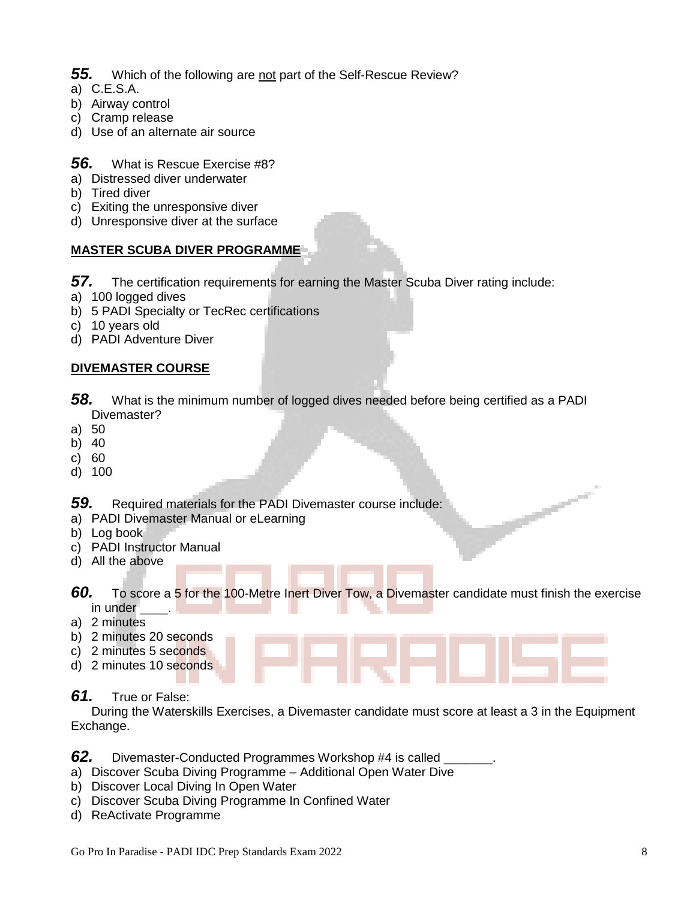# 55. Which of the following are not part of the Self-Rescue Review?

- a) C.E.S.A.
- b) Airway control
- c) Cramp release
- d) Use of an alternate air source

# *56.* What is Rescue Exercise #8?

- a) Distressed diver underwater
- b) Tired diver
- c) Exiting the unresponsive diver
- d) Unresponsive diver at the surface

# **MASTER SCUBA DIVER PROGRAMME**

- *57.* The certification requirements for earning the Master Scuba Diver rating include:
- a) 100 logged dives
- b) 5 PADI Specialty or TecRec certifications
- c) 10 years old
- d) PADI Adventure Diver

# **DIVEMASTER COURSE**

- *58.* What is the minimum number of logged dives needed before being certified as a PADI Divemaster?
- a) 50
- b) 40
- c) 60
- d) 100

*59.* Required materials for the PADI Divemaster course include:

- a) PADI Divemaster Manual or eLearning
- b) Log book
- c) PADI Instructor Manual
- d) All the above

*60.* To score a 5 for the 100-Metre Inert Diver Tow, a Divemaster candidate must finish the exercise in under \_\_\_\_\_.

- a) 2 minutes
- b) 2 minutes 20 seconds
- c) 2 minutes 5 seconds
- d) 2 minutes 10 seconds

# *61.* True or False:

During the Waterskills Exercises, a Divemaster candidate must score at least a 3 in the Equipment Exchange.

*62.* Divemaster-Conducted Programmes Workshop #4 is called \_\_\_\_\_\_\_.

- a) Discover Scuba Diving Programme Additional Open Water Dive
- b) Discover Local Diving In Open Water
- c) Discover Scuba Diving Programme In Confined Water
- d) ReActivate Programme

--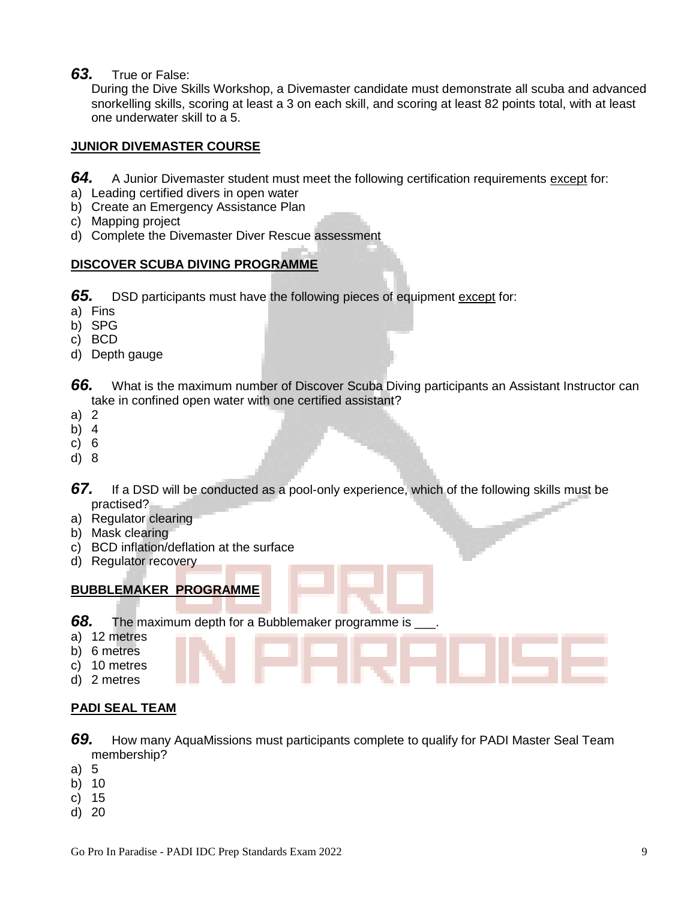*63.* True or False:

During the Dive Skills Workshop, a Divemaster candidate must demonstrate all scuba and advanced snorkelling skills, scoring at least a 3 on each skill, and scoring at least 82 points total, with at least one underwater skill to a 5.

### **JUNIOR DIVEMASTER COURSE**

- *64.* A Junior Divemaster student must meet the following certification requirements except for:
- a) Leading certified divers in open water
- b) Create an Emergency Assistance Plan
- c) Mapping project
- d) Complete the Divemaster Diver Rescue assessment

### **DISCOVER SCUBA DIVING PROGRAMME**

**65.** DSD participants must have the following pieces of equipment except for:

- a) Fins
- b) SPG
- c) BCD
- d) Depth gauge

*66.* What is the maximum number of Discover Scuba Diving participants an Assistant Instructor can take in confined open water with one certified assistant?

- a) 2
- b) 4
- c) 6
- d) 8
- *67.* If a DSD will be conducted as a pool-only experience, which of the following skills must be practised?
- a) Regulator clearing
- b) Mask clearing
- c) BCD inflation/deflation at the surface
- d) Regulator recovery

# **BUBBLEMAKER PROGRAMME**

*68.* The maximum depth for a Bubblemaker programme is \_\_\_.

- a) 12 metres
- b) 6 metres
- c) 10 metres
- d) 2 metres

# **PADI SEAL TEAM**

- *69.* How many AquaMissions must participants complete to qualify for PADI Master Seal Team membership?
- a) 5
- b) 10
- c) 15
- d) 20